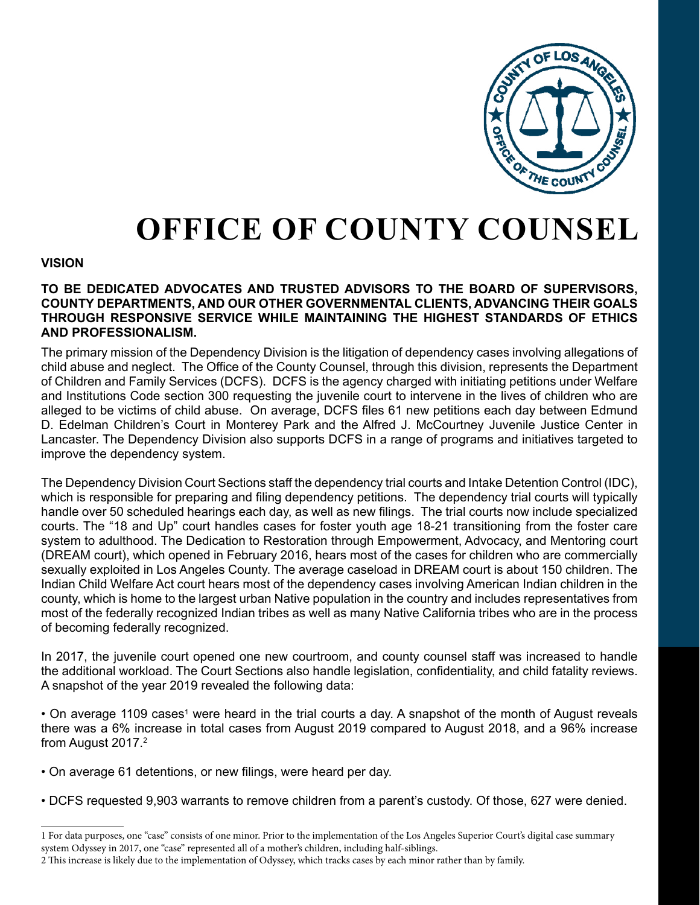

# **OFFICE OF COUNTY COUNSEL**

## **VISION**

## **TO BE DEDICATED ADVOCATES AND TRUSTED ADVISORS TO THE BOARD OF SUPERVISORS, COUNTY DEPARTMENTS, AND OUR OTHER GOVERNMENTAL CLIENTS, ADVANCING THEIR GOALS THROUGH RESPONSIVE SERVICE WHILE MAINTAINING THE HIGHEST STANDARDS OF ETHICS AND PROFESSIONALISM.**

The primary mission of the Dependency Division is the litigation of dependency cases involving allegations of child abuse and neglect. The Office of the County Counsel, through this division, represents the Department of Children and Family Services (DCFS). DCFS is the agency charged with initiating petitions under Welfare and Institutions Code section 300 requesting the juvenile court to intervene in the lives of children who are alleged to be victims of child abuse. On average, DCFS files 61 new petitions each day between Edmund D. Edelman Children's Court in Monterey Park and the Alfred J. McCourtney Juvenile Justice Center in Lancaster. The Dependency Division also supports DCFS in a range of programs and initiatives targeted to improve the dependency system.

The Dependency Division Court Sections staff the dependency trial courts and Intake Detention Control (IDC), which is responsible for preparing and filing dependency petitions. The dependency trial courts will typically handle over 50 scheduled hearings each day, as well as new filings. The trial courts now include specialized courts. The "18 and Up" court handles cases for foster youth age 18-21 transitioning from the foster care system to adulthood. The Dedication to Restoration through Empowerment, Advocacy, and Mentoring court (DREAM court), which opened in February 2016, hears most of the cases for children who are commercially sexually exploited in Los Angeles County. The average caseload in DREAM court is about 150 children. The Indian Child Welfare Act court hears most of the dependency cases involving American Indian children in the county, which is home to the largest urban Native population in the country and includes representatives from most of the federally recognized Indian tribes as well as many Native California tribes who are in the process of becoming federally recognized.

In 2017, the juvenile court opened one new courtroom, and county counsel staff was increased to handle the additional workload. The Court Sections also handle legislation, confidentiality, and child fatality reviews. A snapshot of the year 2019 revealed the following data:

• On average 1109 cases<sup>1</sup> were heard in the trial courts a day. A snapshot of the month of August reveals there was a 6% increase in total cases from August 2019 compared to August 2018, and a 96% increase from August 2017.2

- On average 61 detentions, or new filings, were heard per day.
- DCFS requested 9,903 warrants to remove children from a parent's custody. Of those, 627 were denied.

<sup>1</sup> For data purposes, one "case" consists of one minor. Prior to the implementation of the Los Angeles Superior Court's digital case summary system Odyssey in 2017, one "case" represented all of a mother's children, including half-siblings.

<sup>2</sup> This increase is likely due to the implementation of Odyssey, which tracks cases by each minor rather than by family.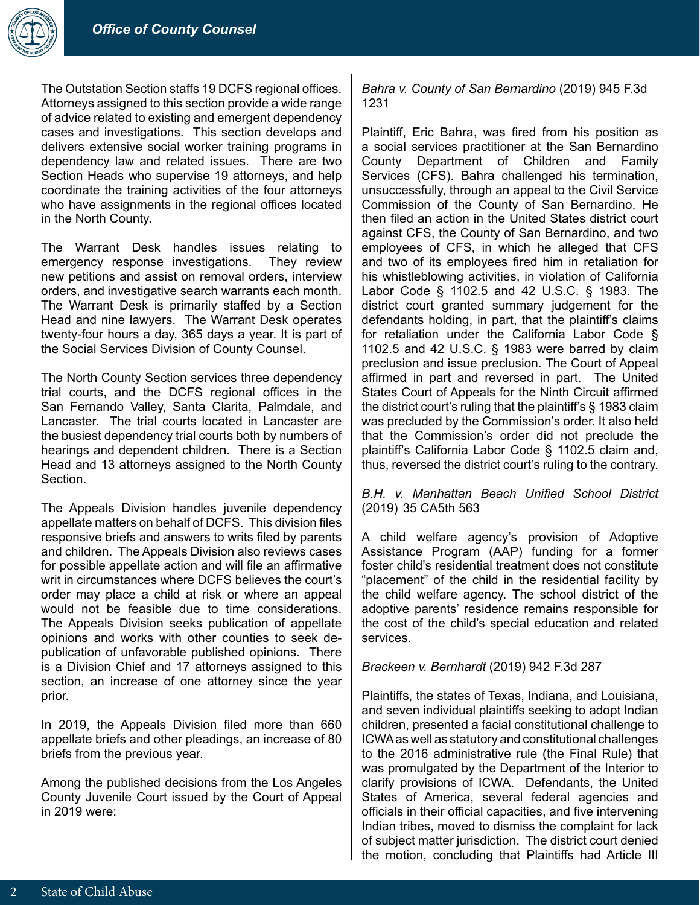

The Outstation Section staffs 19 DCFS regional offices. Attorneys assigned to this section provide a wide range of advice related to existing and emergent dependency cases and investigations. This section develops and delivers extensive social worker training programs in dependency law and related issues. There are two Section Heads who supervise 19 attorneys, and help coordinate the training activities of the four attorneys who have assignments in the regional offices located in the North County.

The Warrant Desk handles issues relating to emergency response investigations. They review new petitions and assist on removal orders, interview orders, and investigative search warrants each month. The Warrant Desk is primarily staffed by a Section Head and nine lawyers. The Warrant Desk operates twenty-four hours a day, 365 days a year. It is part of the Social Services Division of County Counsel.

The North County Section services three dependency trial courts, and the DCFS regional offices in the San Fernando Valley, Santa Clarita, Palmdale, and Lancaster. The trial courts located in Lancaster are the busiest dependency trial courts both by numbers of hearings and dependent children. There is a Section Head and 13 attorneys assigned to the North County Section.

The Appeals Division handles juvenile dependency appellate matters on behalf of DCFS. This division files responsive briefs and answers to writs filed by parents and children. The Appeals Division also reviews cases for possible appellate action and will file an affirmative writ in circumstances where DCFS believes the court's order may place a child at risk or where an appeal would not be feasible due to time considerations. The Appeals Division seeks publication of appellate opinions and works with other counties to seek depublication of unfavorable published opinions. There is a Division Chief and 17 attorneys assigned to this section, an increase of one attorney since the year prior.

In 2019, the Appeals Division filed more than 660 appellate briefs and other pleadings, an increase of 80 briefs from the previous year.

Among the published decisions from the Los Angeles County Juvenile Court issued by the Court of Appeal in 2019 were:

# *Bahra v. County of San Bernardino* (2019) 945 F.3d 1231

Plaintiff, Eric Bahra, was fired from his position as a social services practitioner at the San Bernardino County Department of Children and Family Services (CFS). Bahra challenged his termination, unsuccessfully, through an appeal to the Civil Service Commission of the County of San Bernardino. He then filed an action in the United States district court against CFS, the County of San Bernardino, and two employees of CFS, in which he alleged that CFS and two of its employees fired him in retaliation for his whistleblowing activities, in violation of California Labor Code § 1102.5 and 42 U.S.C. § 1983. The district court granted summary judgement for the defendants holding, in part, that the plaintiff's claims for retaliation under the California Labor Code § 1102.5 and 42 U.S.C. § 1983 were barred by claim preclusion and issue preclusion. The Court of Appeal affirmed in part and reversed in part. The United States Court of Appeals for the Ninth Circuit affirmed the district court's ruling that the plaintiff's § 1983 claim was precluded by the Commission's order. It also held that the Commission's order did not preclude the plaintiff's California Labor Code § 1102.5 claim and, thus, reversed the district court's ruling to the contrary.

# *B.H. v. Manhattan Beach Unified School District* (2019) 35 CA5th 563

A child welfare agency's provision of Adoptive Assistance Program (AAP) funding for a former foster child's residential treatment does not constitute "placement" of the child in the residential facility by the child welfare agency. The school district of the adoptive parents' residence remains responsible for the cost of the child's special education and related services.

# *Brackeen v. Bernhardt* (2019) 942 F.3d 287

Plaintiffs, the states of Texas, Indiana, and Louisiana, and seven individual plaintiffs seeking to adopt Indian children, presented a facial constitutional challenge to ICWA as well as statutory and constitutional challenges to the 2016 administrative rule (the Final Rule) that was promulgated by the Department of the Interior to clarify provisions of ICWA. Defendants, the United States of America, several federal agencies and officials in their official capacities, and five intervening Indian tribes, moved to dismiss the complaint for lack of subject matter jurisdiction. The district court denied the motion, concluding that Plaintiffs had Article III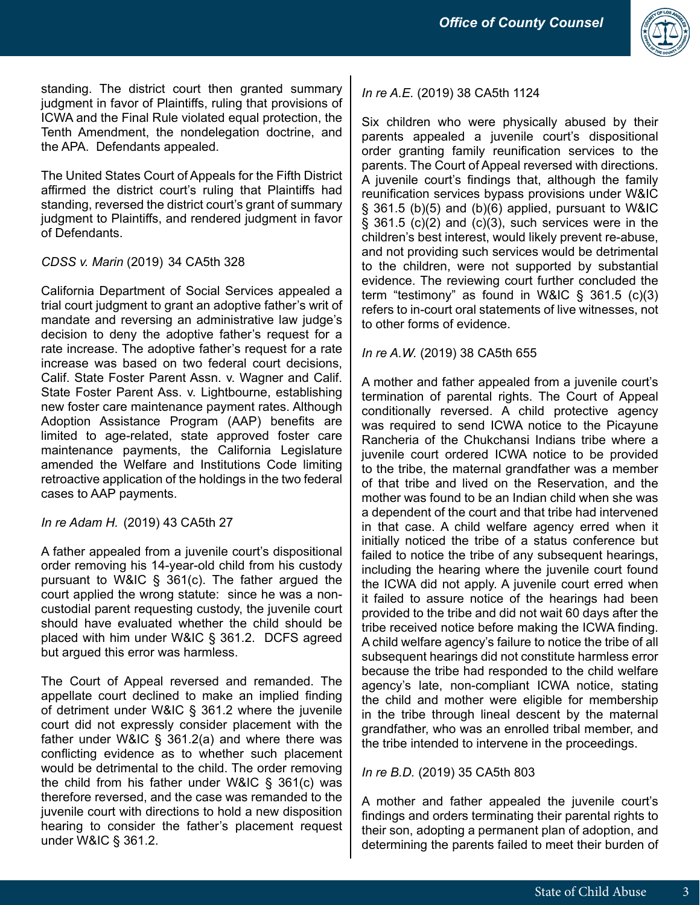

standing. The district court then granted summary judgment in favor of Plaintiffs, ruling that provisions of ICWA and the Final Rule violated equal protection, the Tenth Amendment, the nondelegation doctrine, and the APA. Defendants appealed.

The United States Court of Appeals for the Fifth District affirmed the district court's ruling that Plaintiffs had standing, reversed the district court's grant of summary judgment to Plaintiffs, and rendered judgment in favor of Defendants.

*CDSS v. Marin* (2019) 34 CA5th 328

California Department of Social Services appealed a trial court judgment to grant an adoptive father's writ of mandate and reversing an administrative law judge's decision to deny the adoptive father's request for a rate increase. The adoptive father's request for a rate increase was based on two federal court decisions, Calif. State Foster Parent Assn. v. Wagner and Calif. State Foster Parent Ass. v. Lightbourne, establishing new foster care maintenance payment rates. Although Adoption Assistance Program (AAP) benefits are limited to age-related, state approved foster care maintenance payments, the California Legislature amended the Welfare and Institutions Code limiting retroactive application of the holdings in the two federal cases to AAP payments.

*In re Adam H.* (2019) 43 CA5th 27

A father appealed from a juvenile court's dispositional order removing his 14-year-old child from his custody pursuant to W&IC § 361(c). The father argued the court applied the wrong statute: since he was a noncustodial parent requesting custody, the juvenile court should have evaluated whether the child should be placed with him under W&IC § 361.2. DCFS agreed but argued this error was harmless.

The Court of Appeal reversed and remanded. The appellate court declined to make an implied finding of detriment under W&IC § 361.2 where the juvenile court did not expressly consider placement with the father under W&IC § 361.2(a) and where there was conflicting evidence as to whether such placement would be detrimental to the child. The order removing the child from his father under W&IC § 361(c) was therefore reversed, and the case was remanded to the juvenile court with directions to hold a new disposition hearing to consider the father's placement request under W&IC § 361.2.

# *In re A.E.* (2019) 38 CA5th 1124

Six children who were physically abused by their parents appealed a juvenile court's dispositional order granting family reunification services to the parents. The Court of Appeal reversed with directions. A juvenile court's findings that, although the family reunification services bypass provisions under W&IC  $\S$  361.5 (b)(5) and (b)(6) applied, pursuant to W&IC  $\S$  361.5 (c)(2) and (c)(3), such services were in the children's best interest, would likely prevent re-abuse, and not providing such services would be detrimental to the children, were not supported by substantial evidence. The reviewing court further concluded the term "testimony" as found in W&IC § 361.5 (c)(3) refers to in-court oral statements of live witnesses, not to other forms of evidence.

*In re A.W.* (2019) 38 CA5th 655

A mother and father appealed from a juvenile court's termination of parental rights. The Court of Appeal conditionally reversed. A child protective agency was required to send ICWA notice to the Picayune Rancheria of the Chukchansi Indians tribe where a juvenile court ordered ICWA notice to be provided to the tribe, the maternal grandfather was a member of that tribe and lived on the Reservation, and the mother was found to be an Indian child when she was a dependent of the court and that tribe had intervened in that case. A child welfare agency erred when it initially noticed the tribe of a status conference but failed to notice the tribe of any subsequent hearings, including the hearing where the juvenile court found the ICWA did not apply. A juvenile court erred when it failed to assure notice of the hearings had been provided to the tribe and did not wait 60 days after the tribe received notice before making the ICWA finding. A child welfare agency's failure to notice the tribe of all subsequent hearings did not constitute harmless error because the tribe had responded to the child welfare agency's late, non-compliant ICWA notice, stating the child and mother were eligible for membership in the tribe through lineal descent by the maternal grandfather, who was an enrolled tribal member, and the tribe intended to intervene in the proceedings.

*In re B.D.* (2019) 35 CA5th 803

A mother and father appealed the juvenile court's findings and orders terminating their parental rights to their son, adopting a permanent plan of adoption, and determining the parents failed to meet their burden of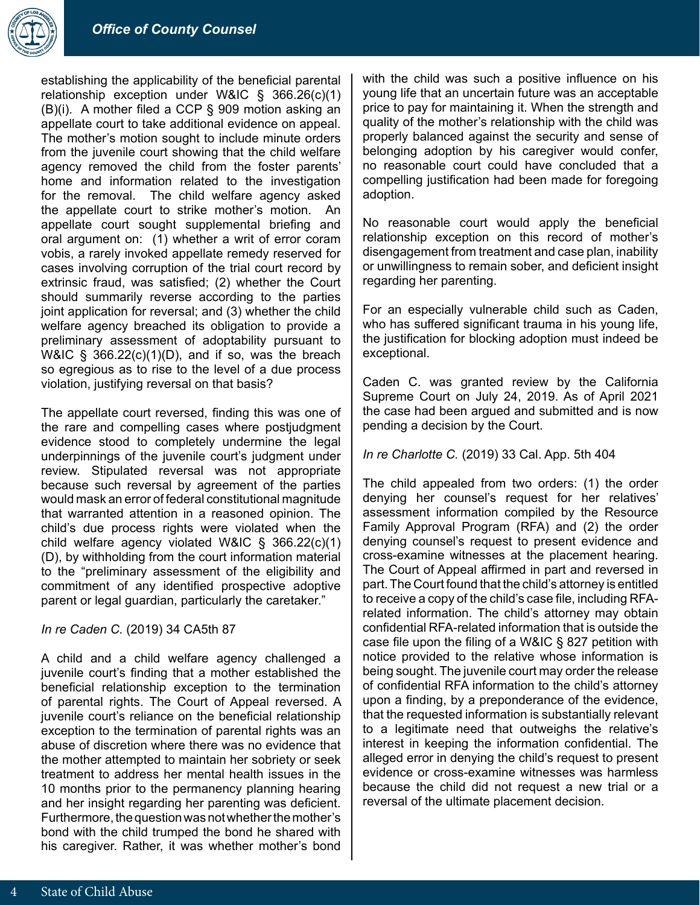

establishing the applicability of the beneficial parental relationship exception under W&IC § 366.26(c)(1) (B)(i). A mother filed a CCP § 909 motion asking an appellate court to take additional evidence on appeal. The mother's motion sought to include minute orders from the juvenile court showing that the child welfare agency removed the child from the foster parents' home and information related to the investigation for the removal. The child welfare agency asked the appellate court to strike mother's motion. An appellate court sought supplemental briefing and oral argument on: (1) whether a writ of error coram vobis, a rarely invoked appellate remedy reserved for cases involving corruption of the trial court record by extrinsic fraud, was satisfied; (2) whether the Court should summarily reverse according to the parties joint application for reversal; and (3) whether the child welfare agency breached its obligation to provide a preliminary assessment of adoptability pursuant to W&IC  $\frac{6}{5}$  366.22(c)(1)(D), and if so, was the breach so egregious as to rise to the level of a due process violation, justifying reversal on that basis?

The appellate court reversed, finding this was one of the rare and compelling cases where postjudgment evidence stood to completely undermine the legal underpinnings of the juvenile court's judgment under review. Stipulated reversal was not appropriate because such reversal by agreement of the parties would mask an error of federal constitutional magnitude that warranted attention in a reasoned opinion. The child's due process rights were violated when the child welfare agency violated W&IC § 366.22(c)(1) (D), by withholding from the court information material to the "preliminary assessment of the eligibility and commitment of any identified prospective adoptive parent or legal guardian, particularly the caretaker."

#### *In re Caden C.* (2019) 34 CA5th 87

A child and a child welfare agency challenged a juvenile court's finding that a mother established the beneficial relationship exception to the termination of parental rights. The Court of Appeal reversed. A juvenile court's reliance on the beneficial relationship exception to the termination of parental rights was an abuse of discretion where there was no evidence that the mother attempted to maintain her sobriety or seek treatment to address her mental health issues in the 10 months prior to the permanency planning hearing and her insight regarding her parenting was deficient. Furthermore, the question was not whether the mother's bond with the child trumped the bond he shared with his caregiver. Rather, it was whether mother's bond with the child was such a positive influence on his young life that an uncertain future was an acceptable price to pay for maintaining it. When the strength and quality of the mother's relationship with the child was properly balanced against the security and sense of belonging adoption by his caregiver would confer, no reasonable court could have concluded that a compelling justification had been made for foregoing adoption.

No reasonable court would apply the beneficial relationship exception on this record of mother's disengagement from treatment and case plan, inability or unwillingness to remain sober, and deficient insight regarding her parenting.

For an especially vulnerable child such as Caden, who has suffered significant trauma in his young life, the justification for blocking adoption must indeed be exceptional.

Caden C. was granted review by the California Supreme Court on July 24, 2019. As of April 2021 the case had been argued and submitted and is now pending a decision by the Court.

*In re Charlotte C.* (2019) 33 Cal. App. 5th 404

The child appealed from two orders: (1) the order denying her counsel's request for her relatives' assessment information compiled by the Resource Family Approval Program (RFA) and (2) the order denying counsel's request to present evidence and cross-examine witnesses at the placement hearing. The Court of Appeal affirmed in part and reversed in part. The Court found that the child's attorney is entitled to receive a copy of the child's case file, including RFArelated information. The child's attorney may obtain confidential RFA-related information that is outside the case file upon the filing of a W&IC § 827 petition with notice provided to the relative whose information is being sought. The juvenile court may order the release of confidential RFA information to the child's attorney upon a finding, by a preponderance of the evidence, that the requested information is substantially relevant to a legitimate need that outweighs the relative's interest in keeping the information confidential. The alleged error in denying the child's request to present evidence or cross-examine witnesses was harmless because the child did not request a new trial or a reversal of the ultimate placement decision.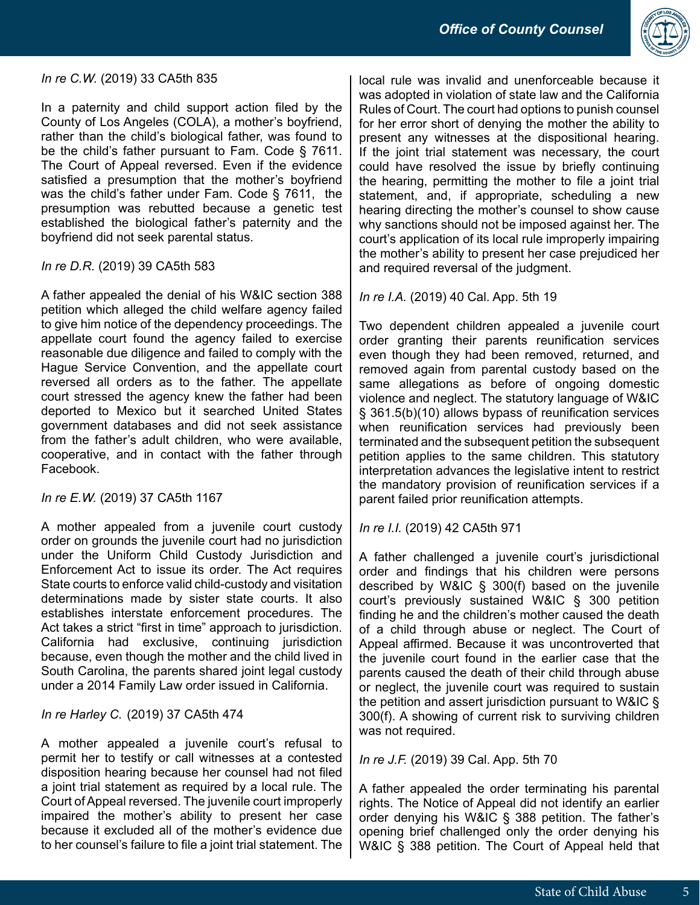

# *In re C.W.* (2019) 33 CA5th 835

In a paternity and child support action filed by the County of Los Angeles (COLA), a mother's boyfriend, rather than the child's biological father, was found to be the child's father pursuant to Fam. Code § 7611. The Court of Appeal reversed. Even if the evidence satisfied a presumption that the mother's boyfriend was the child's father under Fam. Code § 7611, the presumption was rebutted because a genetic test established the biological father's paternity and the boyfriend did not seek parental status.

# *In re D.R.* (2019) 39 CA5th 583

A father appealed the denial of his W&IC section 388 petition which alleged the child welfare agency failed to give him notice of the dependency proceedings. The appellate court found the agency failed to exercise reasonable due diligence and failed to comply with the Hague Service Convention, and the appellate court reversed all orders as to the father. The appellate court stressed the agency knew the father had been deported to Mexico but it searched United States government databases and did not seek assistance from the father's adult children, who were available, cooperative, and in contact with the father through Facebook.

# *In re E.W.* (2019) 37 CA5th 1167

A mother appealed from a juvenile court custody order on grounds the juvenile court had no jurisdiction under the Uniform Child Custody Jurisdiction and Enforcement Act to issue its order. The Act requires State courts to enforce valid child-custody and visitation determinations made by sister state courts. It also establishes interstate enforcement procedures. The Act takes a strict "first in time" approach to jurisdiction. California had exclusive, continuing jurisdiction because, even though the mother and the child lived in South Carolina, the parents shared joint legal custody under a 2014 Family Law order issued in California.

# *In re Harley C.* (2019) 37 CA5th 474

A mother appealed a juvenile court's refusal to permit her to testify or call witnesses at a contested disposition hearing because her counsel had not filed a joint trial statement as required by a local rule. The Court of Appeal reversed. The juvenile court improperly impaired the mother's ability to present her case because it excluded all of the mother's evidence due to her counsel's failure to file a joint trial statement. The

local rule was invalid and unenforceable because it was adopted in violation of state law and the California Rules of Court. The court had options to punish counsel for her error short of denying the mother the ability to present any witnesses at the dispositional hearing. If the joint trial statement was necessary, the court could have resolved the issue by briefly continuing the hearing, permitting the mother to file a joint trial statement, and, if appropriate, scheduling a new hearing directing the mother's counsel to show cause why sanctions should not be imposed against her. The court's application of its local rule improperly impairing the mother's ability to present her case prejudiced her and required reversal of the judgment.

*In re I.A.* (2019) 40 Cal. App. 5th 19

Two dependent children appealed a juvenile court order granting their parents reunification services even though they had been removed, returned, and removed again from parental custody based on the same allegations as before of ongoing domestic violence and neglect. The statutory language of W&IC § 361.5(b)(10) allows bypass of reunification services when reunification services had previously been terminated and the subsequent petition the subsequent petition applies to the same children. This statutory interpretation advances the legislative intent to restrict the mandatory provision of reunification services if a parent failed prior reunification attempts.

*In re I.I.* (2019) 42 CA5th 971

A father challenged a juvenile court's jurisdictional order and findings that his children were persons described by W&IC § 300(f) based on the juvenile court's previously sustained W&IC § 300 petition finding he and the children's mother caused the death of a child through abuse or neglect. The Court of Appeal affirmed. Because it was uncontroverted that the juvenile court found in the earlier case that the parents caused the death of their child through abuse or neglect, the juvenile court was required to sustain the petition and assert jurisdiction pursuant to W&IC § 300(f). A showing of current risk to surviving children was not required.

*In re J.F.* (2019) 39 Cal. App. 5th 70

A father appealed the order terminating his parental rights. The Notice of Appeal did not identify an earlier order denying his W&IC § 388 petition. The father's opening brief challenged only the order denying his W&IC § 388 petition. The Court of Appeal held that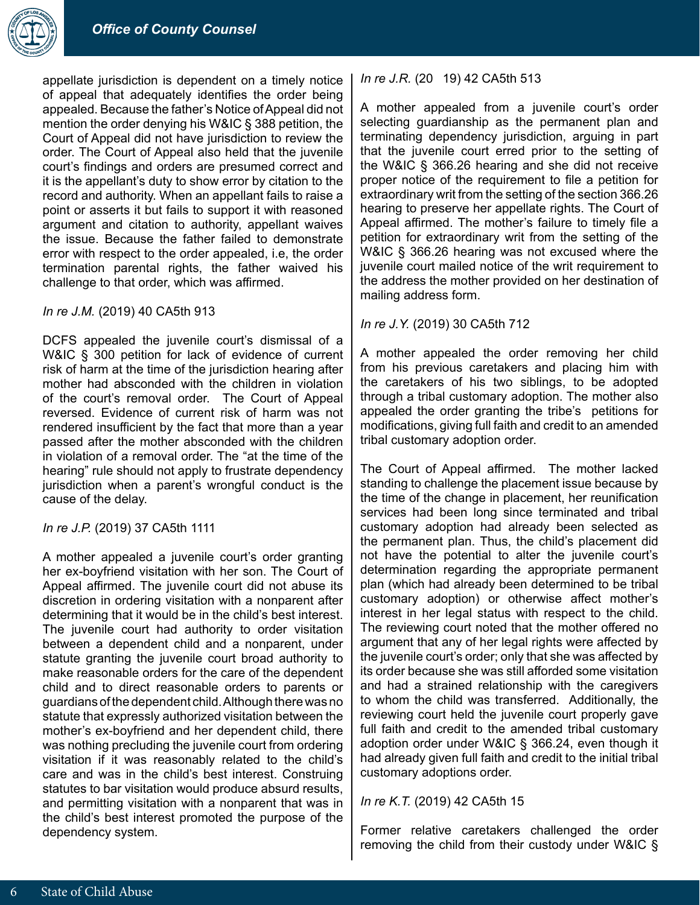

appellate jurisdiction is dependent on a timely notice of appeal that adequately identifies the order being appealed. Because the father's Notice of Appeal did not mention the order denying his W&IC § 388 petition, the Court of Appeal did not have jurisdiction to review the order. The Court of Appeal also held that the juvenile court's findings and orders are presumed correct and it is the appellant's duty to show error by citation to the record and authority. When an appellant fails to raise a point or asserts it but fails to support it with reasoned argument and citation to authority, appellant waives the issue. Because the father failed to demonstrate error with respect to the order appealed, i.e, the order termination parental rights, the father waived his challenge to that order, which was affirmed.

#### *In re J.M.* (2019) 40 CA5th 913

DCFS appealed the juvenile court's dismissal of a W&IC § 300 petition for lack of evidence of current risk of harm at the time of the jurisdiction hearing after mother had absconded with the children in violation of the court's removal order. The Court of Appeal reversed. Evidence of current risk of harm was not rendered insufficient by the fact that more than a year passed after the mother absconded with the children in violation of a removal order. The "at the time of the hearing" rule should not apply to frustrate dependency jurisdiction when a parent's wrongful conduct is the cause of the delay.

## *In re J.P.* (2019) 37 CA5th 1111

A mother appealed a juvenile court's order granting her ex-boyfriend visitation with her son. The Court of Appeal affirmed. The juvenile court did not abuse its discretion in ordering visitation with a nonparent after determining that it would be in the child's best interest. The juvenile court had authority to order visitation between a dependent child and a nonparent, under statute granting the juvenile court broad authority to make reasonable orders for the care of the dependent child and to direct reasonable orders to parents or guardians of the dependent child. Although there was no statute that expressly authorized visitation between the mother's ex-boyfriend and her dependent child, there was nothing precluding the juvenile court from ordering visitation if it was reasonably related to the child's care and was in the child's best interest. Construing statutes to bar visitation would produce absurd results, and permitting visitation with a nonparent that was in the child's best interest promoted the purpose of the dependency system.

#### *In re J.R.* (20 19) 42 CA5th 513

A mother appealed from a juvenile court's order selecting guardianship as the permanent plan and terminating dependency jurisdiction, arguing in part that the juvenile court erred prior to the setting of the W&IC § 366.26 hearing and she did not receive proper notice of the requirement to file a petition for extraordinary writ from the setting of the section 366.26 hearing to preserve her appellate rights. The Court of Appeal affirmed. The mother's failure to timely file a petition for extraordinary writ from the setting of the W&IC § 366.26 hearing was not excused where the juvenile court mailed notice of the writ requirement to the address the mother provided on her destination of mailing address form.

#### *In re J.Y.* (2019) 30 CA5th 712

A mother appealed the order removing her child from his previous caretakers and placing him with the caretakers of his two siblings, to be adopted through a tribal customary adoption. The mother also appealed the order granting the tribe's petitions for modifications, giving full faith and credit to an amended tribal customary adoption order.

The Court of Appeal affirmed. The mother lacked standing to challenge the placement issue because by the time of the change in placement, her reunification services had been long since terminated and tribal customary adoption had already been selected as the permanent plan. Thus, the child's placement did not have the potential to alter the juvenile court's determination regarding the appropriate permanent plan (which had already been determined to be tribal customary adoption) or otherwise affect mother's interest in her legal status with respect to the child. The reviewing court noted that the mother offered no argument that any of her legal rights were affected by the juvenile court's order; only that she was affected by its order because she was still afforded some visitation and had a strained relationship with the caregivers to whom the child was transferred. Additionally, the reviewing court held the juvenile court properly gave full faith and credit to the amended tribal customary adoption order under W&IC § 366.24, even though it had already given full faith and credit to the initial tribal customary adoptions order.

#### *In re K.T.* (2019) 42 CA5th 15

Former relative caretakers challenged the order removing the child from their custody under W&IC §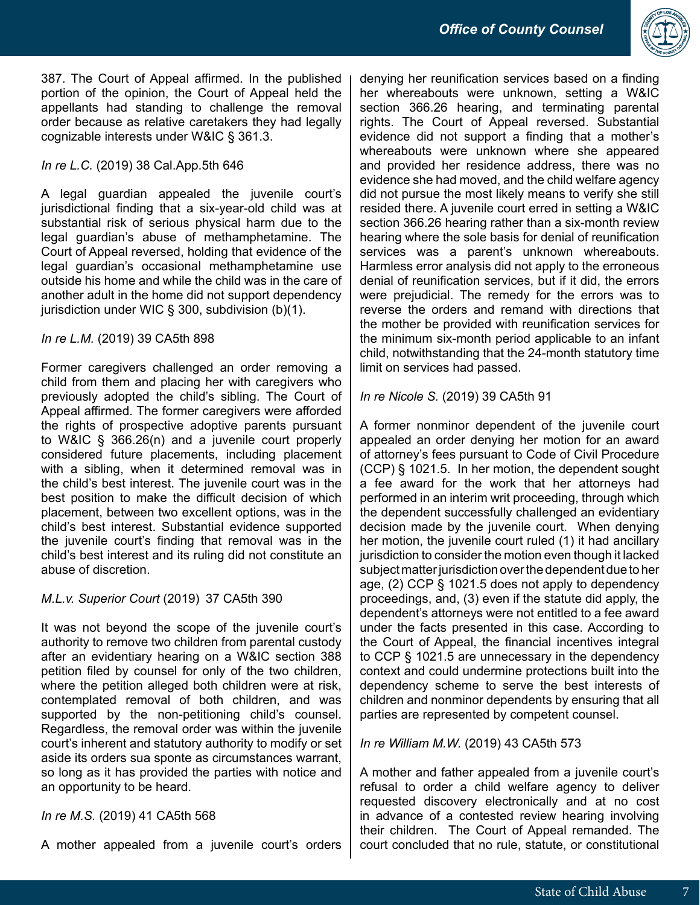

387. The Court of Appeal affirmed. In the published portion of the opinion, the Court of Appeal held the appellants had standing to challenge the removal order because as relative caretakers they had legally cognizable interests under W&IC § 361.3.

# *In re L.C.* (2019) 38 Cal.App.5th 646

A legal guardian appealed the juvenile court's jurisdictional finding that a six-year-old child was at substantial risk of serious physical harm due to the legal guardian's abuse of methamphetamine. The Court of Appeal reversed, holding that evidence of the legal guardian's occasional methamphetamine use outside his home and while the child was in the care of another adult in the home did not support dependency jurisdiction under WIC § 300, subdivision (b)(1).

# *In re L.M.* (2019) 39 CA5th 898

Former caregivers challenged an order removing a child from them and placing her with caregivers who previously adopted the child's sibling. The Court of Appeal affirmed. The former caregivers were afforded the rights of prospective adoptive parents pursuant to W&IC § 366.26(n) and a juvenile court properly considered future placements, including placement with a sibling, when it determined removal was in the child's best interest. The juvenile court was in the best position to make the difficult decision of which placement, between two excellent options, was in the child's best interest. Substantial evidence supported the juvenile court's finding that removal was in the child's best interest and its ruling did not constitute an abuse of discretion.

# *M.L.v. Superior Court* (2019) 37 CA5th 390

It was not beyond the scope of the juvenile court's authority to remove two children from parental custody after an evidentiary hearing on a W&IC section 388 petition filed by counsel for only of the two children, where the petition alleged both children were at risk, contemplated removal of both children, and was supported by the non-petitioning child's counsel. Regardless, the removal order was within the juvenile court's inherent and statutory authority to modify or set aside its orders sua sponte as circumstances warrant, so long as it has provided the parties with notice and an opportunity to be heard.

# *In re M.S.* (2019) 41 CA5th 568

A mother appealed from a juvenile court's orders

denying her reunification services based on a finding her whereabouts were unknown, setting a W&IC section 366.26 hearing, and terminating parental rights. The Court of Appeal reversed. Substantial evidence did not support a finding that a mother's whereabouts were unknown where she appeared and provided her residence address, there was no evidence she had moved, and the child welfare agency did not pursue the most likely means to verify she still resided there. A juvenile court erred in setting a W&IC section 366.26 hearing rather than a six-month review hearing where the sole basis for denial of reunification services was a parent's unknown whereabouts. Harmless error analysis did not apply to the erroneous denial of reunification services, but if it did, the errors were prejudicial. The remedy for the errors was to reverse the orders and remand with directions that the mother be provided with reunification services for the minimum six-month period applicable to an infant child, notwithstanding that the 24-month statutory time limit on services had passed.

*In re Nicole S.* (2019) 39 CA5th 91

A former nonminor dependent of the juvenile court appealed an order denying her motion for an award of attorney's fees pursuant to Code of Civil Procedure (CCP) § 1021.5. In her motion, the dependent sought a fee award for the work that her attorneys had performed in an interim writ proceeding, through which the dependent successfully challenged an evidentiary decision made by the juvenile court. When denying her motion, the juvenile court ruled (1) it had ancillary jurisdiction to consider the motion even though it lacked subject matter jurisdiction over the dependent due to her age, (2) CCP § 1021.5 does not apply to dependency proceedings, and, (3) even if the statute did apply, the dependent's attorneys were not entitled to a fee award under the facts presented in this case. According to the Court of Appeal, the financial incentives integral to CCP § 1021.5 are unnecessary in the dependency context and could undermine protections built into the dependency scheme to serve the best interests of children and nonminor dependents by ensuring that all parties are represented by competent counsel.

# *In re William M.W.* (2019) 43 CA5th 573

A mother and father appealed from a juvenile court's refusal to order a child welfare agency to deliver requested discovery electronically and at no cost in advance of a contested review hearing involving their children. The Court of Appeal remanded. The court concluded that no rule, statute, or constitutional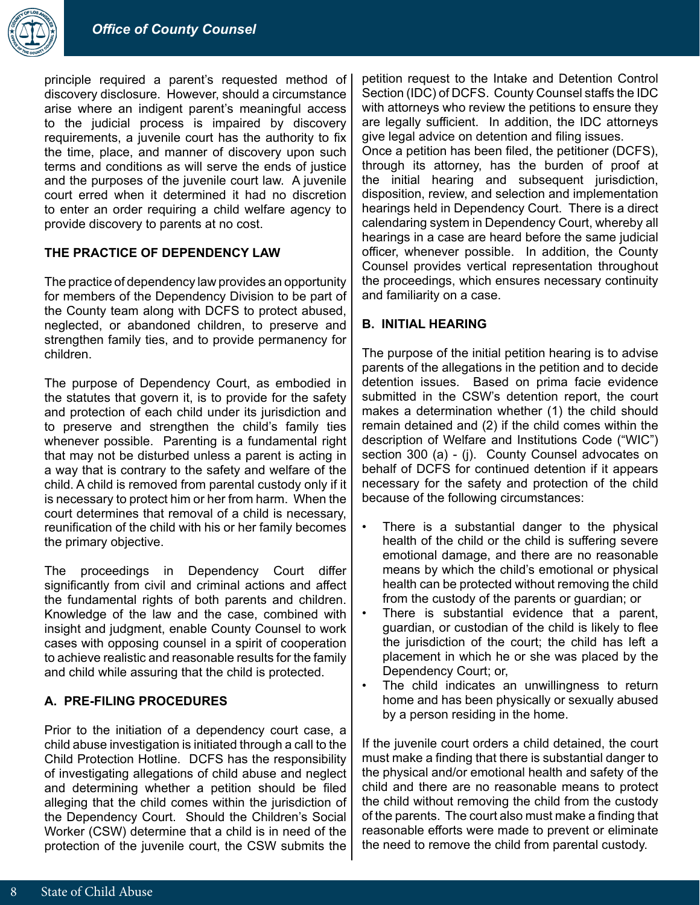

principle required a parent's requested method of discovery disclosure. However, should a circumstance arise where an indigent parent's meaningful access to the judicial process is impaired by discovery requirements, a juvenile court has the authority to fix the time, place, and manner of discovery upon such terms and conditions as will serve the ends of justice and the purposes of the juvenile court law. A juvenile court erred when it determined it had no discretion to enter an order requiring a child welfare agency to provide discovery to parents at no cost.

# **THE PRACTICE OF DEPENDENCY LAW**

The practice of dependency law provides an opportunity for members of the Dependency Division to be part of the County team along with DCFS to protect abused, neglected, or abandoned children, to preserve and strengthen family ties, and to provide permanency for children.

The purpose of Dependency Court, as embodied in the statutes that govern it, is to provide for the safety and protection of each child under its jurisdiction and to preserve and strengthen the child's family ties whenever possible. Parenting is a fundamental right that may not be disturbed unless a parent is acting in a way that is contrary to the safety and welfare of the child. A child is removed from parental custody only if it is necessary to protect him or her from harm. When the court determines that removal of a child is necessary, reunification of the child with his or her family becomes the primary objective.

The proceedings in Dependency Court differ significantly from civil and criminal actions and affect the fundamental rights of both parents and children. Knowledge of the law and the case, combined with insight and judgment, enable County Counsel to work cases with opposing counsel in a spirit of cooperation to achieve realistic and reasonable results for the family and child while assuring that the child is protected.

# **A. PRE-FILING PROCEDURES**

Prior to the initiation of a dependency court case, a child abuse investigation is initiated through a call to the Child Protection Hotline. DCFS has the responsibility of investigating allegations of child abuse and neglect and determining whether a petition should be filed alleging that the child comes within the jurisdiction of the Dependency Court. Should the Children's Social Worker (CSW) determine that a child is in need of the protection of the juvenile court, the CSW submits the

petition request to the Intake and Detention Control Section (IDC) of DCFS. County Counsel staffs the IDC with attorneys who review the petitions to ensure they are legally sufficient. In addition, the IDC attorneys give legal advice on detention and filing issues.

Once a petition has been filed, the petitioner (DCFS), through its attorney, has the burden of proof at the initial hearing and subsequent jurisdiction, disposition, review, and selection and implementation hearings held in Dependency Court. There is a direct calendaring system in Dependency Court, whereby all hearings in a case are heard before the same judicial officer, whenever possible. In addition, the County Counsel provides vertical representation throughout the proceedings, which ensures necessary continuity and familiarity on a case.

# **B. INITIAL HEARING**

The purpose of the initial petition hearing is to advise parents of the allegations in the petition and to decide detention issues. Based on prima facie evidence submitted in the CSW's detention report, the court makes a determination whether (1) the child should remain detained and (2) if the child comes within the description of Welfare and Institutions Code ("WIC") section 300 (a) - (j). County Counsel advocates on behalf of DCFS for continued detention if it appears necessary for the safety and protection of the child because of the following circumstances:

- There is a substantial danger to the physical health of the child or the child is suffering severe emotional damage, and there are no reasonable means by which the child's emotional or physical health can be protected without removing the child from the custody of the parents or guardian; or
- There is substantial evidence that a parent, guardian, or custodian of the child is likely to flee the jurisdiction of the court; the child has left a placement in which he or she was placed by the Dependency Court; or,
- The child indicates an unwillingness to return home and has been physically or sexually abused by a person residing in the home.

If the juvenile court orders a child detained, the court must make a finding that there is substantial danger to the physical and/or emotional health and safety of the child and there are no reasonable means to protect the child without removing the child from the custody of the parents. The court also must make a finding that reasonable efforts were made to prevent or eliminate the need to remove the child from parental custody.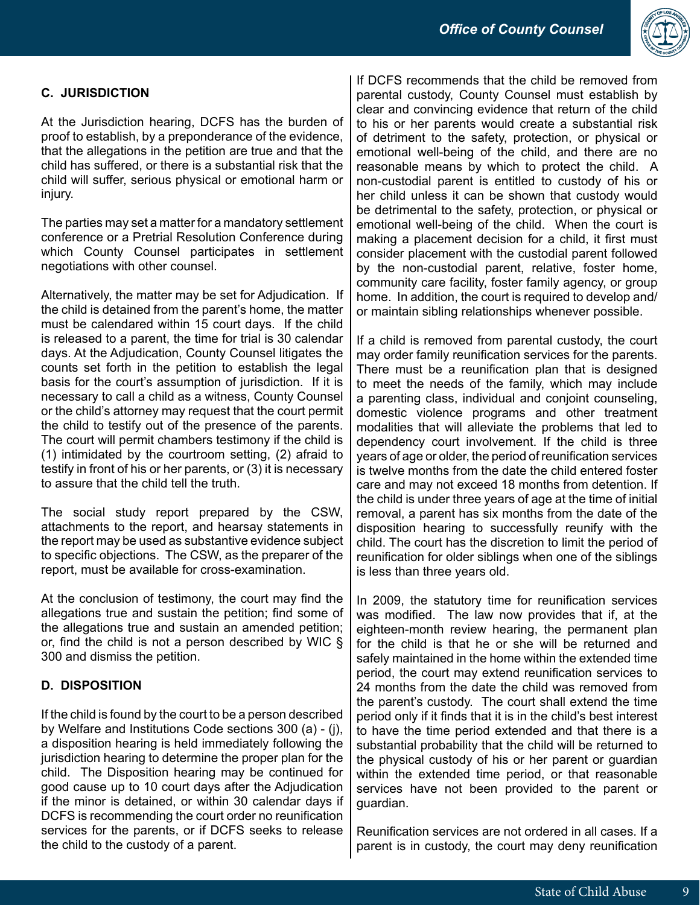

# **C. JURISDICTION**

At the Jurisdiction hearing, DCFS has the burden of proof to establish, by a preponderance of the evidence, that the allegations in the petition are true and that the child has suffered, or there is a substantial risk that the child will suffer, serious physical or emotional harm or injury.

The parties may set a matter for a mandatory settlement conference or a Pretrial Resolution Conference during which County Counsel participates in settlement negotiations with other counsel.

Alternatively, the matter may be set for Adjudication. If the child is detained from the parent's home, the matter must be calendared within 15 court days. If the child is released to a parent, the time for trial is 30 calendar days. At the Adjudication, County Counsel litigates the counts set forth in the petition to establish the legal basis for the court's assumption of jurisdiction. If it is necessary to call a child as a witness, County Counsel or the child's attorney may request that the court permit the child to testify out of the presence of the parents. The court will permit chambers testimony if the child is (1) intimidated by the courtroom setting, (2) afraid to testify in front of his or her parents, or (3) it is necessary to assure that the child tell the truth.

The social study report prepared by the CSW, attachments to the report, and hearsay statements in the report may be used as substantive evidence subject to specific objections. The CSW, as the preparer of the report, must be available for cross-examination.

At the conclusion of testimony, the court may find the allegations true and sustain the petition; find some of the allegations true and sustain an amended petition; or, find the child is not a person described by WIC § 300 and dismiss the petition.

# **D. DISPOSITION**

If the child is found by the court to be a person described by Welfare and Institutions Code sections 300 (a) - (j), a disposition hearing is held immediately following the jurisdiction hearing to determine the proper plan for the child. The Disposition hearing may be continued for good cause up to 10 court days after the Adjudication if the minor is detained, or within 30 calendar days if DCFS is recommending the court order no reunification services for the parents, or if DCFS seeks to release the child to the custody of a parent.

If DCFS recommends that the child be removed from parental custody, County Counsel must establish by clear and convincing evidence that return of the child to his or her parents would create a substantial risk of detriment to the safety, protection, or physical or emotional well-being of the child, and there are no reasonable means by which to protect the child. A non-custodial parent is entitled to custody of his or her child unless it can be shown that custody would be detrimental to the safety, protection, or physical or emotional well-being of the child. When the court is making a placement decision for a child, it first must consider placement with the custodial parent followed by the non-custodial parent, relative, foster home, community care facility, foster family agency, or group home. In addition, the court is required to develop and/ or maintain sibling relationships whenever possible.

If a child is removed from parental custody, the court may order family reunification services for the parents. There must be a reunification plan that is designed to meet the needs of the family, which may include a parenting class, individual and conjoint counseling, domestic violence programs and other treatment modalities that will alleviate the problems that led to dependency court involvement. If the child is three years of age or older, the period of reunification services is twelve months from the date the child entered foster care and may not exceed 18 months from detention. If the child is under three years of age at the time of initial removal, a parent has six months from the date of the disposition hearing to successfully reunify with the child. The court has the discretion to limit the period of reunification for older siblings when one of the siblings is less than three years old.

In 2009, the statutory time for reunification services was modified. The law now provides that if, at the eighteen-month review hearing, the permanent plan for the child is that he or she will be returned and safely maintained in the home within the extended time period, the court may extend reunification services to 24 months from the date the child was removed from the parent's custody. The court shall extend the time period only if it finds that it is in the child's best interest to have the time period extended and that there is a substantial probability that the child will be returned to the physical custody of his or her parent or guardian within the extended time period, or that reasonable services have not been provided to the parent or guardian.

Reunification services are not ordered in all cases. If a parent is in custody, the court may deny reunification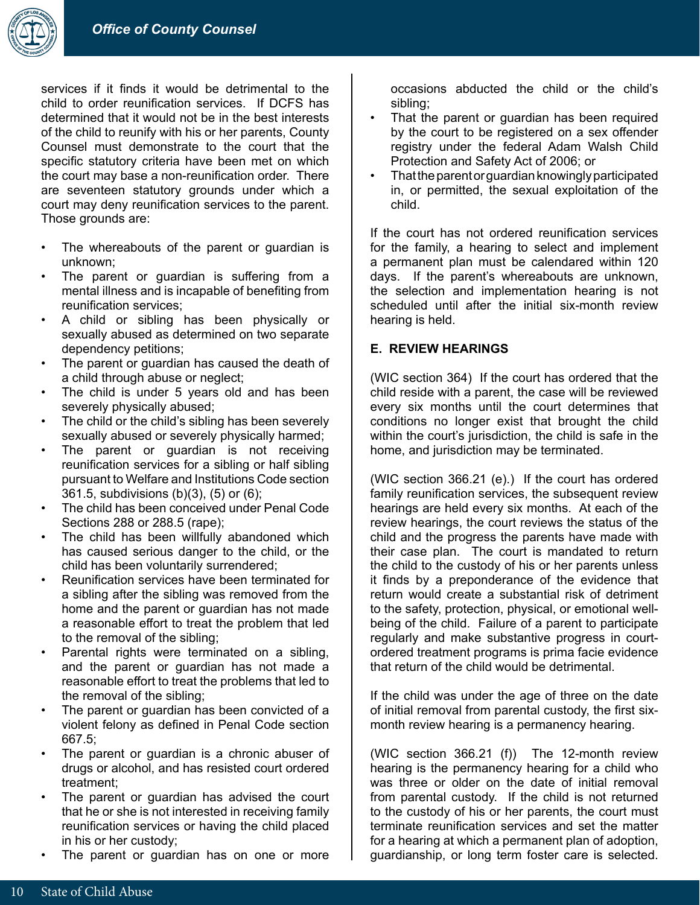

services if it finds it would be detrimental to the child to order reunification services. If DCFS has determined that it would not be in the best interests of the child to reunify with his or her parents, County Counsel must demonstrate to the court that the specific statutory criteria have been met on which the court may base a non-reunification order. There are seventeen statutory grounds under which a court may deny reunification services to the parent. Those grounds are:

- The whereabouts of the parent or guardian is unknown;
- The parent or guardian is suffering from a mental illness and is incapable of benefiting from reunification services;
- A child or sibling has been physically or sexually abused as determined on two separate dependency petitions;
- The parent or guardian has caused the death of a child through abuse or neglect;
- The child is under 5 years old and has been severely physically abused;
- The child or the child's sibling has been severely sexually abused or severely physically harmed;
- The parent or guardian is not receiving reunification services for a sibling or half sibling pursuant to Welfare and Institutions Code section 361.5, subdivisions (b)(3), (5) or (6);
- The child has been conceived under Penal Code Sections 288 or 288.5 (rape);
- The child has been willfully abandoned which has caused serious danger to the child, or the child has been voluntarily surrendered;
- Reunification services have been terminated for a sibling after the sibling was removed from the home and the parent or guardian has not made a reasonable effort to treat the problem that led to the removal of the sibling;
- Parental rights were terminated on a sibling, and the parent or guardian has not made a reasonable effort to treat the problems that led to the removal of the sibling;
- The parent or guardian has been convicted of a violent felony as defined in Penal Code section 667.5;
- The parent or guardian is a chronic abuser of drugs or alcohol, and has resisted court ordered treatment;
- The parent or guardian has advised the court that he or she is not interested in receiving family reunification services or having the child placed in his or her custody;
- The parent or guardian has on one or more

occasions abducted the child or the child's sibling;

- That the parent or guardian has been required by the court to be registered on a sex offender registry under the federal Adam Walsh Child Protection and Safety Act of 2006; or
- That the parent or guardian knowingly participated in, or permitted, the sexual exploitation of the child.

If the court has not ordered reunification services for the family, a hearing to select and implement a permanent plan must be calendared within 120 days. If the parent's whereabouts are unknown, the selection and implementation hearing is not scheduled until after the initial six-month review hearing is held.

# **E. REVIEW HEARINGS**

(WIC section 364) If the court has ordered that the child reside with a parent, the case will be reviewed every six months until the court determines that conditions no longer exist that brought the child within the court's jurisdiction, the child is safe in the home, and jurisdiction may be terminated.

(WIC section 366.21 (e).) If the court has ordered family reunification services, the subsequent review hearings are held every six months. At each of the review hearings, the court reviews the status of the child and the progress the parents have made with their case plan. The court is mandated to return the child to the custody of his or her parents unless it finds by a preponderance of the evidence that return would create a substantial risk of detriment to the safety, protection, physical, or emotional wellbeing of the child. Failure of a parent to participate regularly and make substantive progress in courtordered treatment programs is prima facie evidence that return of the child would be detrimental.

If the child was under the age of three on the date of initial removal from parental custody, the first sixmonth review hearing is a permanency hearing.

(WIC section 366.21 (f)) The 12-month review hearing is the permanency hearing for a child who was three or older on the date of initial removal from parental custody. If the child is not returned to the custody of his or her parents, the court must terminate reunification services and set the matter for a hearing at which a permanent plan of adoption, guardianship, or long term foster care is selected.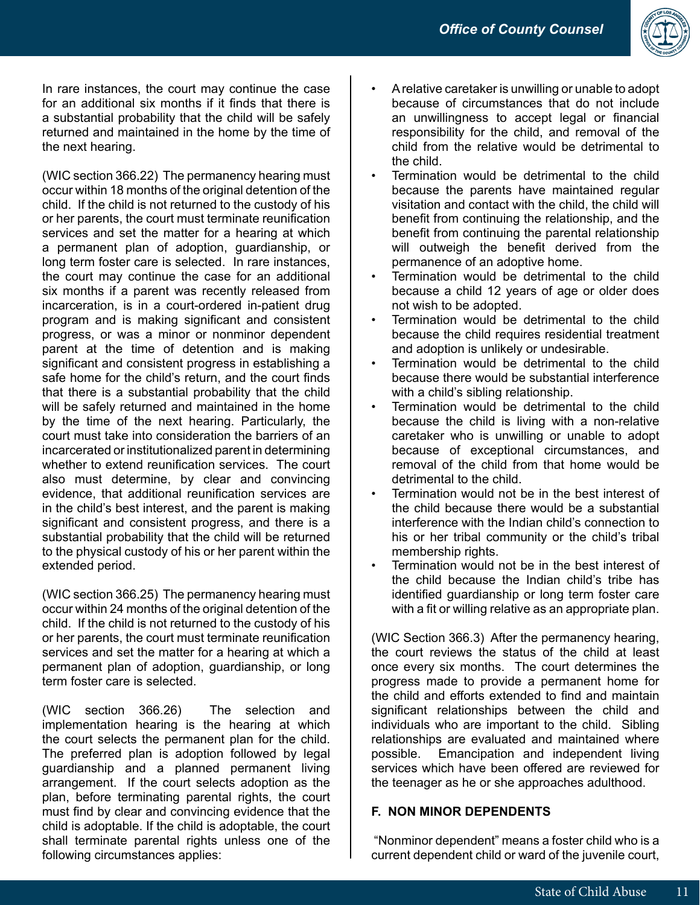

In rare instances, the court may continue the case for an additional six months if it finds that there is a substantial probability that the child will be safely returned and maintained in the home by the time of the next hearing.

(WIC section 366.22) The permanency hearing must occur within 18 months of the original detention of the child. If the child is not returned to the custody of his or her parents, the court must terminate reunification services and set the matter for a hearing at which a permanent plan of adoption, guardianship, or long term foster care is selected. In rare instances, the court may continue the case for an additional six months if a parent was recently released from incarceration, is in a court-ordered in-patient drug program and is making significant and consistent progress, or was a minor or nonminor dependent parent at the time of detention and is making significant and consistent progress in establishing a safe home for the child's return, and the court finds that there is a substantial probability that the child will be safely returned and maintained in the home by the time of the next hearing. Particularly, the court must take into consideration the barriers of an incarcerated or institutionalized parent in determining whether to extend reunification services. The court also must determine, by clear and convincing evidence, that additional reunification services are in the child's best interest, and the parent is making significant and consistent progress, and there is a substantial probability that the child will be returned to the physical custody of his or her parent within the extended period.

(WIC section 366.25) The permanency hearing must occur within 24 months of the original detention of the child. If the child is not returned to the custody of his or her parents, the court must terminate reunification services and set the matter for a hearing at which a permanent plan of adoption, guardianship, or long term foster care is selected.

(WIC section 366.26) The selection and implementation hearing is the hearing at which the court selects the permanent plan for the child. The preferred plan is adoption followed by legal guardianship and a planned permanent living arrangement. If the court selects adoption as the plan, before terminating parental rights, the court must find by clear and convincing evidence that the child is adoptable. If the child is adoptable, the court shall terminate parental rights unless one of the following circumstances applies:

- A relative caretaker is unwilling or unable to adopt because of circumstances that do not include an unwillingness to accept legal or financial responsibility for the child, and removal of the child from the relative would be detrimental to the child.
- Termination would be detrimental to the child because the parents have maintained regular visitation and contact with the child, the child will benefit from continuing the relationship, and the benefit from continuing the parental relationship will outweigh the benefit derived from the permanence of an adoptive home.
- Termination would be detrimental to the child because a child 12 years of age or older does not wish to be adopted.
- Termination would be detrimental to the child because the child requires residential treatment and adoption is unlikely or undesirable.
- Termination would be detrimental to the child because there would be substantial interference with a child's sibling relationship.
- Termination would be detrimental to the child because the child is living with a non-relative caretaker who is unwilling or unable to adopt because of exceptional circumstances, and removal of the child from that home would be detrimental to the child.
- Termination would not be in the best interest of the child because there would be a substantial interference with the Indian child's connection to his or her tribal community or the child's tribal membership rights.
- Termination would not be in the best interest of the child because the Indian child's tribe has identified guardianship or long term foster care with a fit or willing relative as an appropriate plan.

(WIC Section 366.3) After the permanency hearing, the court reviews the status of the child at least once every six months. The court determines the progress made to provide a permanent home for the child and efforts extended to find and maintain significant relationships between the child and individuals who are important to the child. Sibling relationships are evaluated and maintained where possible. Emancipation and independent living services which have been offered are reviewed for the teenager as he or she approaches adulthood.

# **F. NON MINOR DEPENDENTS**

 "Nonminor dependent" means a foster child who is a current dependent child or ward of the juvenile court,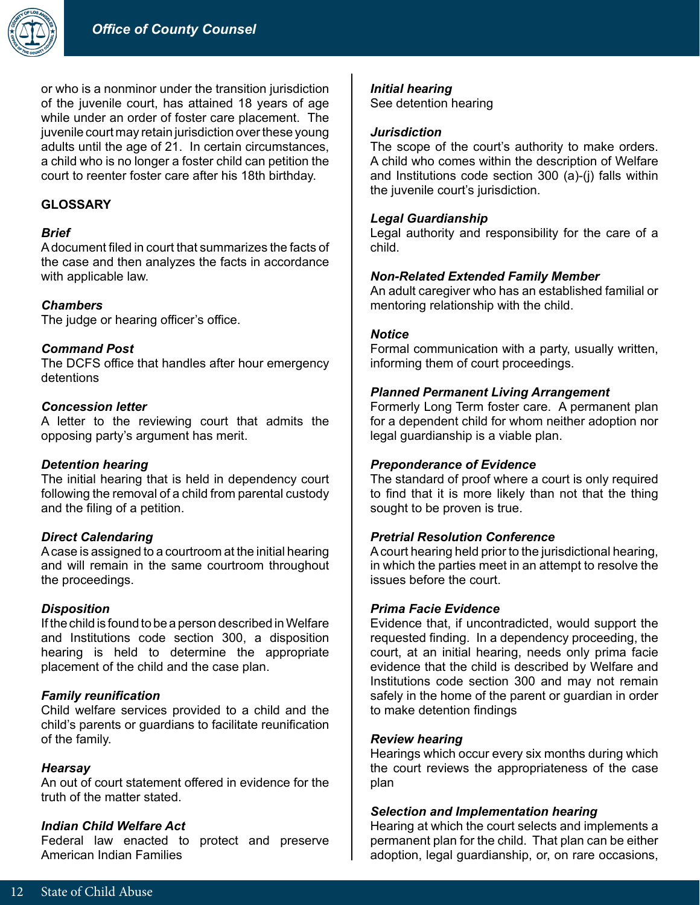

or who is a nonminor under the transition jurisdiction of the juvenile court, has attained 18 years of age while under an order of foster care placement. The juvenile court may retain jurisdiction over these young adults until the age of 21. In certain circumstances, a child who is no longer a foster child can petition the court to reenter foster care after his 18th birthday.

# **GLOSSARY**

## *Brief*

A document filed in court that summarizes the facts of the case and then analyzes the facts in accordance with applicable law.

## *Chambers*

The judge or hearing officer's office.

#### *Command Post*

The DCFS office that handles after hour emergency detentions

#### *Concession letter*

A letter to the reviewing court that admits the opposing party's argument has merit.

## *Detention hearing*

The initial hearing that is held in dependency court following the removal of a child from parental custody and the filing of a petition.

## *Direct Calendaring*

A case is assigned to a courtroom at the initial hearing and will remain in the same courtroom throughout the proceedings.

#### *Disposition*

If the child is found to be a person described in Welfare and Institutions code section 300, a disposition hearing is held to determine the appropriate placement of the child and the case plan.

## *Family reunification*

Child welfare services provided to a child and the child's parents or guardians to facilitate reunification of the family.

#### *Hearsay*

An out of court statement offered in evidence for the truth of the matter stated.

#### *Indian Child Welfare Act*

Federal law enacted to protect and preserve American Indian Families

#### *Initial hearing*

See detention hearing

## *Jurisdiction*

The scope of the court's authority to make orders. A child who comes within the description of Welfare and Institutions code section 300 (a)-(j) falls within the juvenile court's jurisdiction.

#### *Legal Guardianship*

Legal authority and responsibility for the care of a child.

#### *Non-Related Extended Family Member*

An adult caregiver who has an established familial or mentoring relationship with the child.

#### *Notice*

Formal communication with a party, usually written, informing them of court proceedings.

#### *Planned Permanent Living Arrangement*

Formerly Long Term foster care. A permanent plan for a dependent child for whom neither adoption nor legal guardianship is a viable plan.

## *Preponderance of Evidence*

The standard of proof where a court is only required to find that it is more likely than not that the thing sought to be proven is true.

#### *Pretrial Resolution Conference*

A court hearing held prior to the jurisdictional hearing, in which the parties meet in an attempt to resolve the issues before the court.

## *Prima Facie Evidence*

Evidence that, if uncontradicted, would support the requested finding. In a dependency proceeding, the court, at an initial hearing, needs only prima facie evidence that the child is described by Welfare and Institutions code section 300 and may not remain safely in the home of the parent or guardian in order to make detention findings

#### *Review hearing*

Hearings which occur every six months during which the court reviews the appropriateness of the case plan

#### *Selection and Implementation hearing*

Hearing at which the court selects and implements a permanent plan for the child. That plan can be either adoption, legal guardianship, or, on rare occasions,